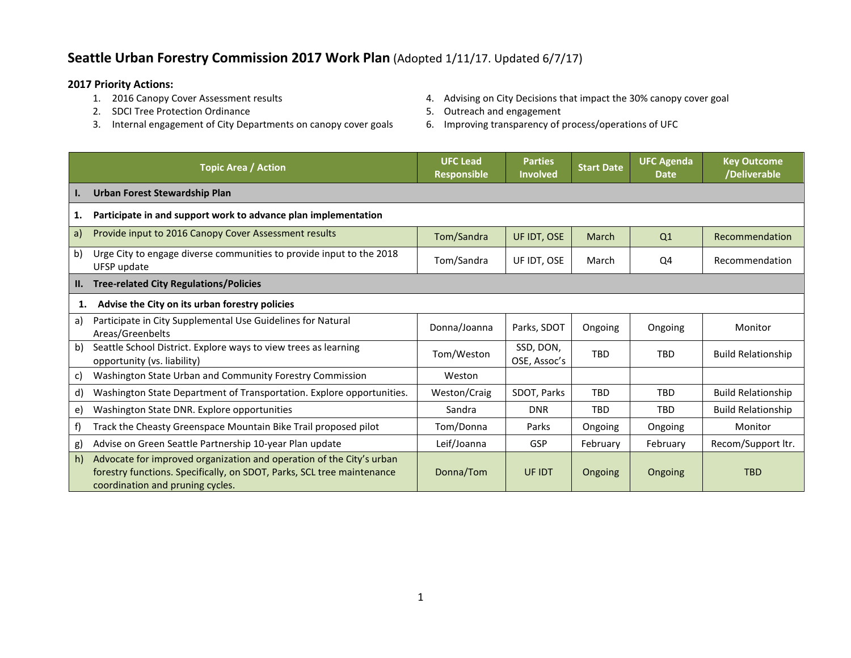## **Seattle Urban Forestry Commission 2017 Work Plan** (Adopted 1/11/17. Updated 6/7/17)

- **2017 Priority Actions:**
	- 2. SDCI Tree Protection Ordinance and Equipment S. Outreach and engagement
	- 3. Internal engagement of City Departments on canopy cover goals 6. Improving transparency of process/operations of UFC
- 4. Advising on City Decisions that impact the 30% canopy cover goal
- -

|           | <b>Topic Area / Action</b>                                                                                                                                                         | <b>UFC Lead</b><br><b>Responsible</b> | <b>Parties</b><br><b>Involved</b> | <b>Start Date</b> | <b>UFC Agenda</b><br><b>Date</b> | <b>Key Outcome</b><br>/Deliverable |
|-----------|------------------------------------------------------------------------------------------------------------------------------------------------------------------------------------|---------------------------------------|-----------------------------------|-------------------|----------------------------------|------------------------------------|
| <b>I.</b> | Urban Forest Stewardship Plan                                                                                                                                                      |                                       |                                   |                   |                                  |                                    |
| 1.        | Participate in and support work to advance plan implementation                                                                                                                     |                                       |                                   |                   |                                  |                                    |
| a)        | Provide input to 2016 Canopy Cover Assessment results                                                                                                                              | Tom/Sandra                            | UF IDT, OSE                       | March             | Q <sub>1</sub>                   | Recommendation                     |
| b)        | Urge City to engage diverse communities to provide input to the 2018<br>UFSP update                                                                                                | Tom/Sandra                            | UF IDT, OSE                       | March             | Q4                               | Recommendation                     |
| II.       | <b>Tree-related City Regulations/Policies</b>                                                                                                                                      |                                       |                                   |                   |                                  |                                    |
| 1.        | Advise the City on its urban forestry policies                                                                                                                                     |                                       |                                   |                   |                                  |                                    |
| a)        | Participate in City Supplemental Use Guidelines for Natural<br>Areas/Greenbelts                                                                                                    | Donna/Joanna                          | Parks, SDOT                       | Ongoing           | Ongoing                          | Monitor                            |
| b)        | Seattle School District. Explore ways to view trees as learning<br>opportunity (vs. liability)                                                                                     | Tom/Weston                            | SSD, DON,<br>OSE, Assoc's         | <b>TRD</b>        | <b>TBD</b>                       | <b>Build Relationship</b>          |
| C)        | Washington State Urban and Community Forestry Commission                                                                                                                           | Weston                                |                                   |                   |                                  |                                    |
| d)        | Washington State Department of Transportation. Explore opportunities.                                                                                                              | Weston/Craig                          | SDOT, Parks                       | <b>TBD</b>        | <b>TBD</b>                       | <b>Build Relationship</b>          |
| e)        | Washington State DNR. Explore opportunities                                                                                                                                        | Sandra                                | <b>DNR</b>                        | <b>TRD</b>        | <b>TBD</b>                       | <b>Build Relationship</b>          |
| f)        | Track the Cheasty Greenspace Mountain Bike Trail proposed pilot                                                                                                                    | Tom/Donna                             | Parks                             | Ongoing           | Ongoing                          | Monitor                            |
| g)        | Advise on Green Seattle Partnership 10-year Plan update                                                                                                                            | Leif/Joanna                           | <b>GSP</b>                        | February          | February                         | Recom/Support ltr.                 |
| h)        | Advocate for improved organization and operation of the City's urban<br>forestry functions. Specifically, on SDOT, Parks, SCL tree maintenance<br>coordination and pruning cycles. | Donna/Tom                             | UF IDT                            | Ongoing           | Ongoing                          | <b>TBD</b>                         |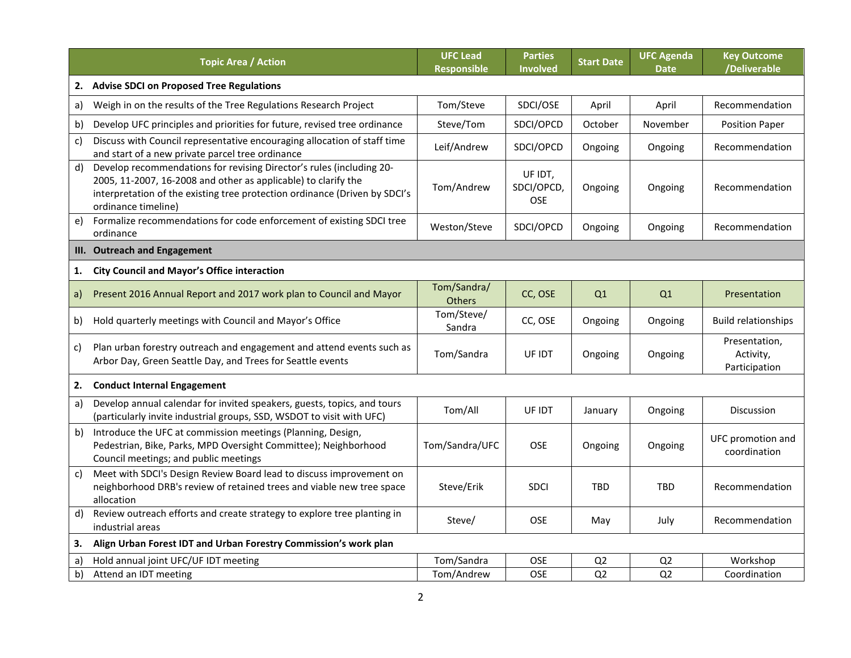|    | <b>Topic Area / Action</b>                                                                                                                                                                                                                  | <b>UFC Lead</b><br><b>Responsible</b> | <b>Parties</b><br>Involved   | <b>Start Date</b> | <b>UFC Agenda</b><br><b>Date</b> | <b>Key Outcome</b><br>/Deliverable          |
|----|---------------------------------------------------------------------------------------------------------------------------------------------------------------------------------------------------------------------------------------------|---------------------------------------|------------------------------|-------------------|----------------------------------|---------------------------------------------|
| 2. | <b>Advise SDCI on Proposed Tree Regulations</b>                                                                                                                                                                                             |                                       |                              |                   |                                  |                                             |
| a) | Weigh in on the results of the Tree Regulations Research Project                                                                                                                                                                            | Tom/Steve                             | SDCI/OSE                     | April             | April                            | Recommendation                              |
| b) | Develop UFC principles and priorities for future, revised tree ordinance                                                                                                                                                                    | Steve/Tom                             | SDCI/OPCD                    | October           | November                         | <b>Position Paper</b>                       |
| c) | Discuss with Council representative encouraging allocation of staff time<br>and start of a new private parcel tree ordinance                                                                                                                | Leif/Andrew                           | SDCI/OPCD                    | Ongoing           | Ongoing                          | Recommendation                              |
| d) | Develop recommendations for revising Director's rules (including 20-<br>2005, 11-2007, 16-2008 and other as applicable) to clarify the<br>interpretation of the existing tree protection ordinance (Driven by SDCI's<br>ordinance timeline) | Tom/Andrew                            | UF IDT,<br>SDCI/OPCD,<br>OSE | Ongoing           | Ongoing                          | Recommendation                              |
| e) | Formalize recommendations for code enforcement of existing SDCI tree<br>ordinance                                                                                                                                                           | Weston/Steve                          | SDCI/OPCD                    | Ongoing           | Ongoing                          | Recommendation                              |
| Ш. | <b>Outreach and Engagement</b>                                                                                                                                                                                                              |                                       |                              |                   |                                  |                                             |
| 1. | <b>City Council and Mayor's Office interaction</b>                                                                                                                                                                                          |                                       |                              |                   |                                  |                                             |
| a) | Present 2016 Annual Report and 2017 work plan to Council and Mayor                                                                                                                                                                          | Tom/Sandra/<br><b>Others</b>          | CC, OSE                      | Q1                | Q1                               | Presentation                                |
| b) | Hold quarterly meetings with Council and Mayor's Office                                                                                                                                                                                     | Tom/Steve/<br>Sandra                  | CC, OSE                      | Ongoing           | Ongoing                          | <b>Build relationships</b>                  |
| C) | Plan urban forestry outreach and engagement and attend events such as<br>Arbor Day, Green Seattle Day, and Trees for Seattle events                                                                                                         | Tom/Sandra                            | UF IDT                       | Ongoing           | Ongoing                          | Presentation,<br>Activity,<br>Participation |
| 2. | <b>Conduct Internal Engagement</b>                                                                                                                                                                                                          |                                       |                              |                   |                                  |                                             |
| a) | Develop annual calendar for invited speakers, guests, topics, and tours<br>(particularly invite industrial groups, SSD, WSDOT to visit with UFC)                                                                                            | Tom/All                               | UF IDT                       | January           | Ongoing                          | Discussion                                  |
| b) | Introduce the UFC at commission meetings (Planning, Design,<br>Pedestrian, Bike, Parks, MPD Oversight Committee); Neighborhood<br>Council meetings; and public meetings                                                                     | Tom/Sandra/UFC                        | <b>OSE</b>                   | Ongoing           | Ongoing                          | UFC promotion and<br>coordination           |
| c) | Meet with SDCI's Design Review Board lead to discuss improvement on<br>neighborhood DRB's review of retained trees and viable new tree space<br>allocation                                                                                  | Steve/Erik                            | <b>SDCI</b>                  | <b>TBD</b>        | <b>TBD</b>                       | Recommendation                              |
| d) | Review outreach efforts and create strategy to explore tree planting in<br>industrial areas                                                                                                                                                 | Steve/                                | <b>OSE</b>                   | May               | July                             | Recommendation                              |
| 3. | Align Urban Forest IDT and Urban Forestry Commission's work plan                                                                                                                                                                            |                                       |                              |                   |                                  |                                             |
| a) | Hold annual joint UFC/UF IDT meeting                                                                                                                                                                                                        | Tom/Sandra                            | OSE                          | Q <sub>2</sub>    | Q <sub>2</sub>                   | Workshop                                    |
| b) | Attend an IDT meeting                                                                                                                                                                                                                       | Tom/Andrew                            | <b>OSE</b>                   | Q <sub>2</sub>    | Q <sub>2</sub>                   | Coordination                                |